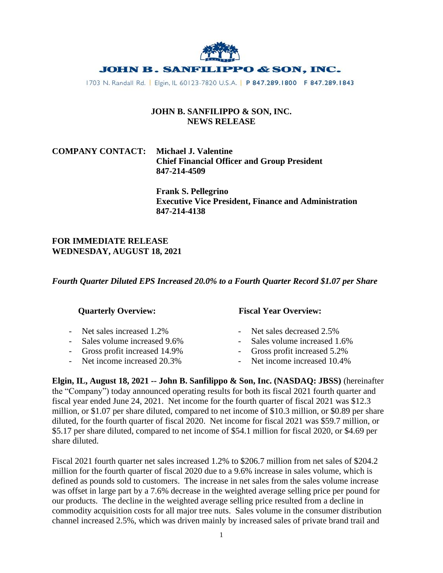

1703 N. Randall Rd. | Elgin, IL 60123-7820 U.S.A. | P 847.289.1800 F 847.289.1843

### **JOHN B. SANFILIPPO & SON, INC. NEWS RELEASE**

# **COMPANY CONTACT: Michael J. Valentine Chief Financial Officer and Group President 847-214-4509**

**Frank S. Pellegrino Executive Vice President, Finance and Administration 847-214-4138**

### **FOR IMMEDIATE RELEASE WEDNESDAY, AUGUST 18, 2021**

*Fourth Quarter Diluted EPS Increased 20.0% to a Fourth Quarter Record \$1.07 per Share*

- 
- Sales volume increased 9.6% Sales volume increased 1.6%
- 
- Net income increased 20.3% Net income increased 10.4%

# **Quarterly Overview: Fiscal Year Overview:**

- Net sales increased 1.2% Net sales decreased 2.5%
	-
- Gross profit increased 14.9% Gross profit increased 5.2%
	-

**Elgin, IL, August 18, 2021 -- John B. Sanfilippo & Son, Inc. (NASDAQ: JBSS)** (hereinafter the "Company") today announced operating results for both its fiscal 2021 fourth quarter and fiscal year ended June 24, 2021. Net income for the fourth quarter of fiscal 2021 was \$12.3 million, or \$1.07 per share diluted, compared to net income of \$10.3 million, or \$0.89 per share diluted, for the fourth quarter of fiscal 2020. Net income for fiscal 2021 was \$59.7 million, or \$5.17 per share diluted, compared to net income of \$54.1 million for fiscal 2020, or \$4.69 per share diluted.

Fiscal 2021 fourth quarter net sales increased 1.2% to \$206.7 million from net sales of \$204.2 million for the fourth quarter of fiscal 2020 due to a 9.6% increase in sales volume, which is defined as pounds sold to customers. The increase in net sales from the sales volume increase was offset in large part by a 7.6% decrease in the weighted average selling price per pound for our products. The decline in the weighted average selling price resulted from a decline in commodity acquisition costs for all major tree nuts. Sales volume in the consumer distribution channel increased 2.5%, which was driven mainly by increased sales of private brand trail and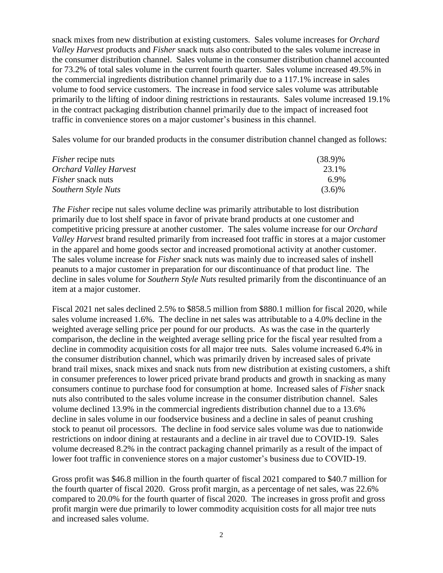snack mixes from new distribution at existing customers. Sales volume increases for *Orchard Valley Harvest* products and *Fisher* snack nuts also contributed to the sales volume increase in the consumer distribution channel. Sales volume in the consumer distribution channel accounted for 73.2% of total sales volume in the current fourth quarter. Sales volume increased 49.5% in the commercial ingredients distribution channel primarily due to a 117.1% increase in sales volume to food service customers. The increase in food service sales volume was attributable primarily to the lifting of indoor dining restrictions in restaurants. Sales volume increased 19.1% in the contract packaging distribution channel primarily due to the impact of increased foot traffic in convenience stores on a major customer's business in this channel.

Sales volume for our branded products in the consumer distribution channel changed as follows:

| <i>Fisher</i> recipe nuts     | $(38.9)\%$ |
|-------------------------------|------------|
| <b>Orchard Valley Harvest</b> | 23.1%      |
| <i>Fisher</i> snack nuts      | 6.9%       |
| Southern Style Nuts           | $(3.6)\%$  |

*The Fisher* recipe nut sales volume decline was primarily attributable to lost distribution primarily due to lost shelf space in favor of private brand products at one customer and competitive pricing pressure at another customer. The sales volume increase for our *Orchard Valley Harvest* brand resulted primarily from increased foot traffic in stores at a major customer in the apparel and home goods sector and increased promotional activity at another customer. The sales volume increase for *Fisher* snack nuts was mainly due to increased sales of inshell peanuts to a major customer in preparation for our discontinuance of that product line. The decline in sales volume for *Southern Style Nuts* resulted primarily from the discontinuance of an item at a major customer.

Fiscal 2021 net sales declined 2.5% to \$858.5 million from \$880.1 million for fiscal 2020, while sales volume increased 1.6%. The decline in net sales was attributable to a 4.0% decline in the weighted average selling price per pound for our products. As was the case in the quarterly comparison, the decline in the weighted average selling price for the fiscal year resulted from a decline in commodity acquisition costs for all major tree nuts. Sales volume increased 6.4% in the consumer distribution channel, which was primarily driven by increased sales of private brand trail mixes, snack mixes and snack nuts from new distribution at existing customers, a shift in consumer preferences to lower priced private brand products and growth in snacking as many consumers continue to purchase food for consumption at home. Increased sales of *Fisher* snack nuts also contributed to the sales volume increase in the consumer distribution channel. Sales volume declined 13.9% in the commercial ingredients distribution channel due to a 13.6% decline in sales volume in our foodservice business and a decline in sales of peanut crushing stock to peanut oil processors. The decline in food service sales volume was due to nationwide restrictions on indoor dining at restaurants and a decline in air travel due to COVID-19. Sales volume decreased 8.2% in the contract packaging channel primarily as a result of the impact of lower foot traffic in convenience stores on a major customer's business due to COVID-19.

Gross profit was \$46.8 million in the fourth quarter of fiscal 2021 compared to \$40.7 million for the fourth quarter of fiscal 2020. Gross profit margin, as a percentage of net sales, was 22.6% compared to 20.0% for the fourth quarter of fiscal 2020. The increases in gross profit and gross profit margin were due primarily to lower commodity acquisition costs for all major tree nuts and increased sales volume.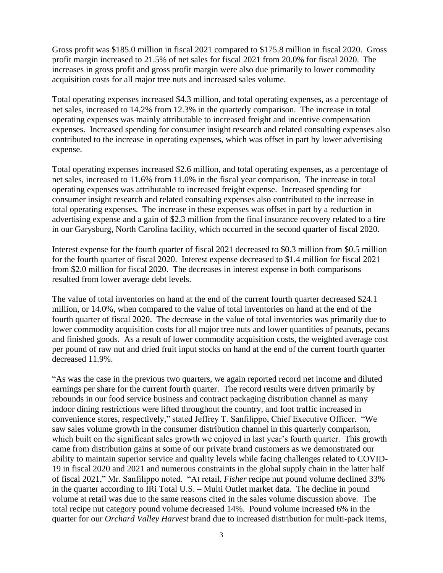Gross profit was \$185.0 million in fiscal 2021 compared to \$175.8 million in fiscal 2020. Gross profit margin increased to 21.5% of net sales for fiscal 2021 from 20.0% for fiscal 2020. The increases in gross profit and gross profit margin were also due primarily to lower commodity acquisition costs for all major tree nuts and increased sales volume.

Total operating expenses increased \$4.3 million, and total operating expenses, as a percentage of net sales, increased to 14.2% from 12.3% in the quarterly comparison. The increase in total operating expenses was mainly attributable to increased freight and incentive compensation expenses. Increased spending for consumer insight research and related consulting expenses also contributed to the increase in operating expenses, which was offset in part by lower advertising expense.

Total operating expenses increased \$2.6 million, and total operating expenses, as a percentage of net sales, increased to 11.6% from 11.0% in the fiscal year comparison. The increase in total operating expenses was attributable to increased freight expense. Increased spending for consumer insight research and related consulting expenses also contributed to the increase in total operating expenses. The increase in these expenses was offset in part by a reduction in advertising expense and a gain of \$2.3 million from the final insurance recovery related to a fire in our Garysburg, North Carolina facility, which occurred in the second quarter of fiscal 2020.

Interest expense for the fourth quarter of fiscal 2021 decreased to \$0.3 million from \$0.5 million for the fourth quarter of fiscal 2020. Interest expense decreased to \$1.4 million for fiscal 2021 from \$2.0 million for fiscal 2020. The decreases in interest expense in both comparisons resulted from lower average debt levels.

The value of total inventories on hand at the end of the current fourth quarter decreased \$24.1 million, or 14.0%, when compared to the value of total inventories on hand at the end of the fourth quarter of fiscal 2020. The decrease in the value of total inventories was primarily due to lower commodity acquisition costs for all major tree nuts and lower quantities of peanuts, pecans and finished goods. As a result of lower commodity acquisition costs, the weighted average cost per pound of raw nut and dried fruit input stocks on hand at the end of the current fourth quarter decreased 11.9%.

"As was the case in the previous two quarters, we again reported record net income and diluted earnings per share for the current fourth quarter. The record results were driven primarily by rebounds in our food service business and contract packaging distribution channel as many indoor dining restrictions were lifted throughout the country, and foot traffic increased in convenience stores, respectively," stated Jeffrey T. Sanfilippo, Chief Executive Officer. "We saw sales volume growth in the consumer distribution channel in this quarterly comparison, which built on the significant sales growth we enjoyed in last year's fourth quarter. This growth came from distribution gains at some of our private brand customers as we demonstrated our ability to maintain superior service and quality levels while facing challenges related to COVID-19 in fiscal 2020 and 2021 and numerous constraints in the global supply chain in the latter half of fiscal 2021," Mr. Sanfilippo noted. "At retail, *Fisher* recipe nut pound volume declined 33% in the quarter according to IRi Total U.S. – Multi Outlet market data. The decline in pound volume at retail was due to the same reasons cited in the sales volume discussion above. The total recipe nut category pound volume decreased 14%. Pound volume increased 6% in the quarter for our *Orchard Valley Harvest* brand due to increased distribution for multi-pack items,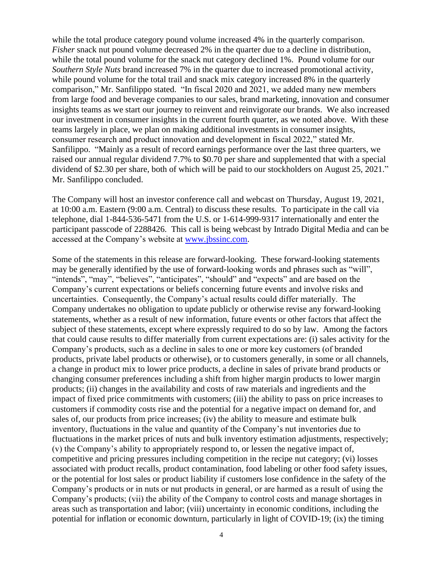while the total produce category pound volume increased 4% in the quarterly comparison. *Fisher* snack nut pound volume decreased 2% in the quarter due to a decline in distribution, while the total pound volume for the snack nut category declined 1%. Pound volume for our *Southern Style Nuts* brand increased 7% in the quarter due to increased promotional activity, while pound volume for the total trail and snack mix category increased 8% in the quarterly comparison," Mr. Sanfilippo stated. "In fiscal 2020 and 2021, we added many new members from large food and beverage companies to our sales, brand marketing, innovation and consumer insights teams as we start our journey to reinvent and reinvigorate our brands. We also increased our investment in consumer insights in the current fourth quarter, as we noted above. With these teams largely in place, we plan on making additional investments in consumer insights, consumer research and product innovation and development in fiscal 2022," stated Mr. Sanfilippo. "Mainly as a result of record earnings performance over the last three quarters, we raised our annual regular dividend 7.7% to \$0.70 per share and supplemented that with a special dividend of \$2.30 per share, both of which will be paid to our stockholders on August 25, 2021." Mr. Sanfilippo concluded.

The Company will host an investor conference call and webcast on Thursday, August 19, 2021, at 10:00 a.m. Eastern (9:00 a.m. Central) to discuss these results. To participate in the call via telephone, dial 1-844-536-5471 from the U.S. or 1-614-999-9317 internationally and enter the participant passcode of 2288426. This call is being webcast by Intrado Digital Media and can be accessed at the Company's website at [www.jbssinc.com.](http://www.jbssinc.com/)

Some of the statements in this release are forward-looking. These forward-looking statements may be generally identified by the use of forward-looking words and phrases such as "will", "intends", "may", "believes", "anticipates", "should" and "expects" and are based on the Company's current expectations or beliefs concerning future events and involve risks and uncertainties. Consequently, the Company's actual results could differ materially. The Company undertakes no obligation to update publicly or otherwise revise any forward-looking statements, whether as a result of new information, future events or other factors that affect the subject of these statements, except where expressly required to do so by law. Among the factors that could cause results to differ materially from current expectations are: (i) sales activity for the Company's products, such as a decline in sales to one or more key customers (of branded products, private label products or otherwise), or to customers generally, in some or all channels, a change in product mix to lower price products, a decline in sales of private brand products or changing consumer preferences including a shift from higher margin products to lower margin products; (ii) changes in the availability and costs of raw materials and ingredients and the impact of fixed price commitments with customers; (iii) the ability to pass on price increases to customers if commodity costs rise and the potential for a negative impact on demand for, and sales of, our products from price increases; (iv) the ability to measure and estimate bulk inventory, fluctuations in the value and quantity of the Company's nut inventories due to fluctuations in the market prices of nuts and bulk inventory estimation adjustments, respectively; (v) the Company's ability to appropriately respond to, or lessen the negative impact of, competitive and pricing pressures including competition in the recipe nut category; (vi) losses associated with product recalls, product contamination, food labeling or other food safety issues, or the potential for lost sales or product liability if customers lose confidence in the safety of the Company's products or in nuts or nut products in general, or are harmed as a result of using the Company's products; (vii) the ability of the Company to control costs and manage shortages in areas such as transportation and labor; (viii) uncertainty in economic conditions, including the potential for inflation or economic downturn, particularly in light of COVID-19; (ix) the timing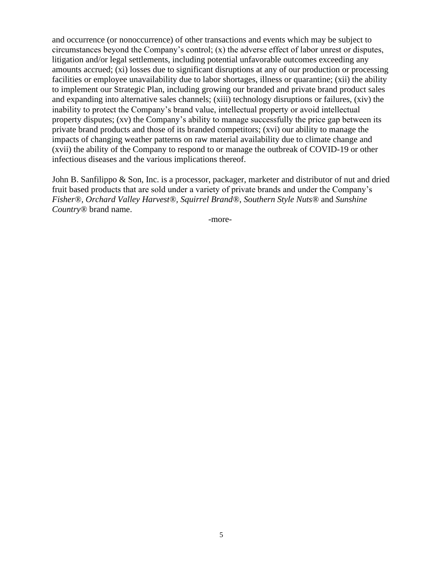and occurrence (or nonoccurrence) of other transactions and events which may be subject to circumstances beyond the Company's control; (x) the adverse effect of labor unrest or disputes, litigation and/or legal settlements, including potential unfavorable outcomes exceeding any amounts accrued; (xi) losses due to significant disruptions at any of our production or processing facilities or employee unavailability due to labor shortages, illness or quarantine; (xii) the ability to implement our Strategic Plan, including growing our branded and private brand product sales and expanding into alternative sales channels; (xiii) technology disruptions or failures, (xiv) the inability to protect the Company's brand value, intellectual property or avoid intellectual property disputes; (xv) the Company's ability to manage successfully the price gap between its private brand products and those of its branded competitors; (xvi) our ability to manage the impacts of changing weather patterns on raw material availability due to climate change and (xvii) the ability of the Company to respond to or manage the outbreak of COVID-19 or other infectious diseases and the various implications thereof.

John B. Sanfilippo & Son, Inc. is a processor, packager, marketer and distributor of nut and dried fruit based products that are sold under a variety of private brands and under the Company's *Fisher®, Orchard Valley Harvest®, Squirrel Brand®*, *Southern Style Nuts®* and *Sunshine Country®* brand name.

-more-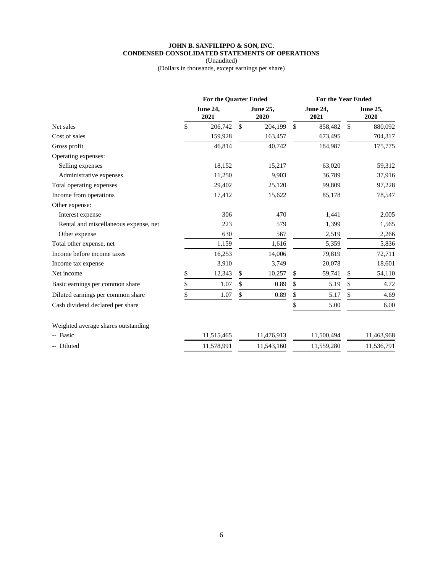### **JOHN B. SANFILIPPO & SON, INC. CONDENSED CONSOLIDATED STATEMENTS OF OPERATIONS**

(Unaudited)

(Dollars in thousands, except earnings per share)

|                                       | <b>For the Quarter Ended</b> |                         |    | <b>For the Year Ended</b> |              |                         |              |                  |
|---------------------------------------|------------------------------|-------------------------|----|---------------------------|--------------|-------------------------|--------------|------------------|
|                                       |                              | <b>June 24,</b><br>2021 |    | <b>June 25,</b><br>2020   |              | <b>June 24,</b><br>2021 |              | June 25,<br>2020 |
| Net sales                             | \$                           | 206,742                 | \$ | 204,199                   | $\mathbb{S}$ | 858,482                 | $\mathbb{S}$ | 880,092          |
| Cost of sales                         |                              | 159,928                 |    | 163,457                   |              | 673,495                 |              | 704,317          |
| Gross profit                          |                              | 46,814                  |    | 40,742                    |              | 184,987                 |              | 175,775          |
| Operating expenses:                   |                              |                         |    |                           |              |                         |              |                  |
| Selling expenses                      |                              | 18,152                  |    | 15,217                    |              | 63,020                  |              | 59,312           |
| Administrative expenses               |                              | 11,250                  |    | 9,903                     |              | 36,789                  |              | 37,916           |
| Total operating expenses              |                              | 29,402                  |    | 25,120                    |              | 99,809                  |              | 97,228           |
| Income from operations                |                              | 17,412                  |    | 15,622                    |              | 85,178                  |              | 78,547           |
| Other expense:                        |                              |                         |    |                           |              |                         |              |                  |
| Interest expense                      |                              | 306                     |    | 470                       |              | 1,441                   |              | 2,005            |
| Rental and miscellaneous expense, net |                              | 223                     |    | 579                       |              | 1,399                   |              | 1,565            |
| Other expense                         |                              | 630                     |    | 567                       |              | 2,519                   |              | 2,266            |
| Total other expense, net              |                              | 1,159                   |    | 1,616                     |              | 5,359                   |              | 5,836            |
| Income before income taxes            |                              | 16,253                  |    | 14,006                    |              | 79,819                  |              | 72,711           |
| Income tax expense                    |                              | 3,910                   |    | 3,749                     |              | 20,078                  |              | 18,601           |
| Net income                            | \$                           | 12,343                  | \$ | 10,257                    | \$           | 59,741                  | \$           | 54,110           |
| Basic earnings per common share       | \$                           | 1.07                    | \$ | 0.89                      | \$           | 5.19                    | \$           | 4.72             |
| Diluted earnings per common share     | \$                           | 1.07                    | \$ | 0.89                      | \$           | 5.17                    | \$           | 4.69             |
| Cash dividend declared per share      |                              |                         |    |                           |              | 5.00                    |              | 6.00             |
| Weighted average shares outstanding   |                              |                         |    |                           |              |                         |              |                  |
| -- Basic                              |                              | 11,515,465              |    | 11,476,913                |              | 11,500,494              |              | 11,463,968       |
| -- Diluted                            |                              | 11,578,991              |    | 11,543,160                |              | 11,559,280              |              | 11,536,791       |
|                                       |                              |                         |    |                           |              |                         |              |                  |